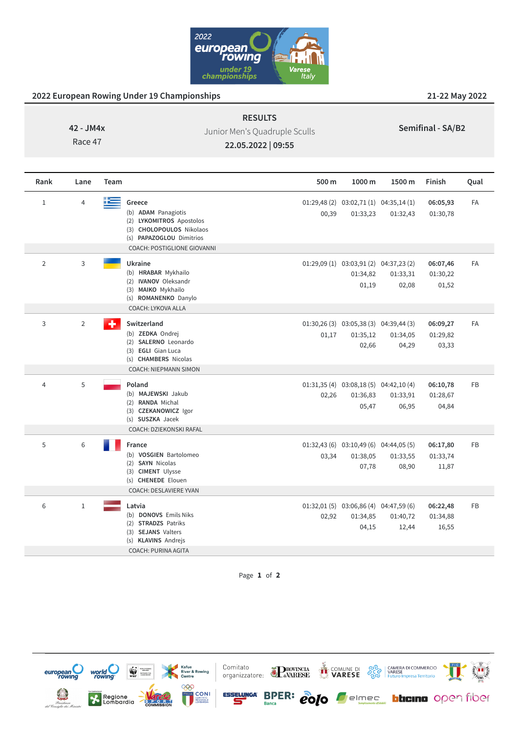

## **2022 European Rowing Under 19 Championships 21-22 May 2022**

**42 - JM4x**

Race 47

Junior Men's Quadruple Sculls

**RESULTS**

**Semifinal - SA/B2**

**22.05.2022 | 09:55**

| Rank           | Lane           | Team                                                                                                                                                             | 500 m | 1000 m                                                         | 1500 m            | Finish                        | Qual      |
|----------------|----------------|------------------------------------------------------------------------------------------------------------------------------------------------------------------|-------|----------------------------------------------------------------|-------------------|-------------------------------|-----------|
| $\mathbf 1$    | 4              | t and<br>Greece<br>(b) ADAM Panagiotis<br>(2) LYKOMITROS Apostolos<br>(3) CHOLOPOULOS Nikolaos<br>(s) PAPAZOGLOU Dimitrios<br><b>COACH: POSTIGLIONE GIOVANNI</b> | 00,39 | $01:29,48(2)$ $03:02,71(1)$ $04:35,14(1)$<br>01:33,23          | 01:32,43          | 06:05,93<br>01:30,78          | FA        |
| $\overline{2}$ | 3              | Ukraine<br>(b) HRABAR Mykhailo<br>(2) <b>IVANOV</b> Oleksandr<br>(3) MAIKO Mykhailo<br>(s) ROMANENKO Danylo<br>COACH: LYKOVA ALLA                                |       | $01:29,09(1)$ $03:03,91(2)$ $04:37,23(2)$<br>01:34,82<br>01,19 | 01:33,31<br>02,08 | 06:07,46<br>01:30,22<br>01,52 | <b>FA</b> |
| 3              | $\overline{2}$ | ÷<br>Switzerland<br>(b) ZEDKA Ondrej<br>(2) SALERNO Leonardo<br>(3) EGLI Gian Luca<br>(s) CHAMBERS Nicolas<br><b>COACH: NIEPMANN SIMON</b>                       | 01,17 | $01:30,26(3)$ $03:05,38(3)$ $04:39,44(3)$<br>01:35,12<br>02,66 | 01:34,05<br>04,29 | 06:09,27<br>01:29,82<br>03,33 | <b>FA</b> |
| 4              | 5              | Poland<br>(b) MAJEWSKI Jakub<br>(2) RANDA Michal<br>(3) CZEKANOWICZ Igor<br>(s) SUSZKA Jacek<br>COACH: DZIEKONSKI RAFAL                                          | 02,26 | 01:31,35 (4) 03:08,18 (5) 04:42,10 (4)<br>01:36,83<br>05,47    | 01:33,91<br>06,95 | 06:10,78<br>01:28,67<br>04,84 | FB        |
| 5              | 6              | France<br>(b) VOSGIEN Bartolomeo<br>(2) SAYN Nicolas<br>(3) CIMENT Ulysse<br>(s) CHENEDE Elouen<br><b>COACH: DESLAVIERE YVAN</b>                                 | 03,34 | $01:32,43(6)$ $03:10,49(6)$ $04:44,05(5)$<br>01:38,05<br>07,78 | 01:33,55<br>08,90 | 06:17,80<br>01:33,74<br>11,87 | FB        |
| 6              | $1\,$          | Latvia<br>(b) DONOVS Emils Niks<br>(2) STRADZS Patriks<br>(3) SEJANS Valters<br>(s) KLAVINS Andrejs<br>COACH: PURINA AGITA                                       | 02,92 | $01:32,01(5)$ $03:06,86(4)$ $04:47,59(6)$<br>01:34,85<br>04,15 | 01:40,72<br>12,44 | 06:22,48<br>01:34,88<br>16,55 | FB        |

Page **1** of **2**